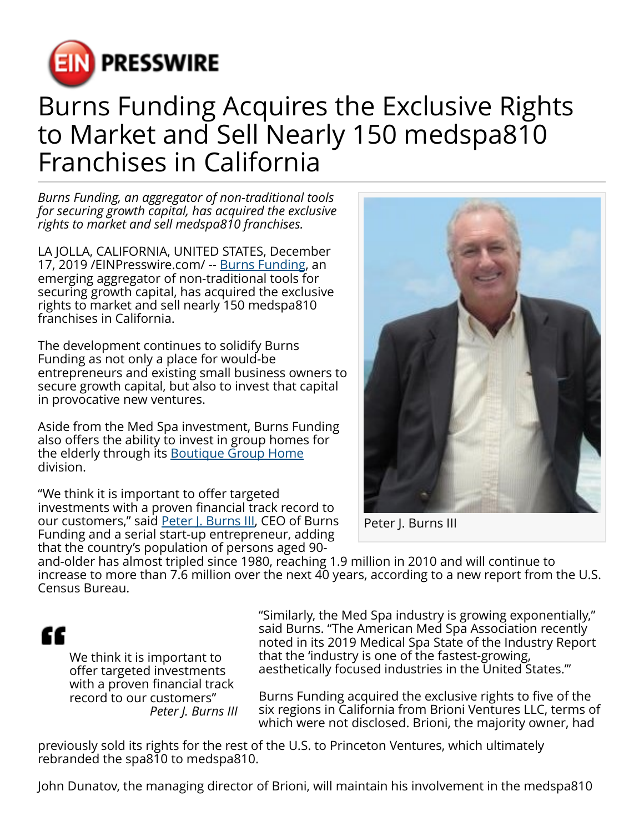

## Burns Funding Acquires the Exclusive Rights to Market and Sell Nearly 150 medspa810 Franchises in California

*Burns Funding, an aggregator of non-traditional tools for securing growth capital, has acquired the exclusive rights to market and sell medspa810 franchises.*

LA JOLLA, CALIFORNIA, UNITED STATES, December 17, 2019 /[EINPresswire.com/](http://www.einpresswire.com) -- [Burns Funding,](https://burnsfunding.com/) an emerging aggregator of non-traditional tools for securing growth capital, has acquired the exclusive rights to market and sell nearly 150 medspa810 franchises in California.

The development continues to solidify Burns Funding as not only a place for would-be entrepreneurs and existing small business owners to secure growth capital, but also to invest that capital in provocative new ventures.

Aside from the Med Spa investment, Burns Funding also offers the ability to invest in group homes for the elderly through its [Boutique Group Home](https://burnsfunding.com/boutique-group-homes/) division.

"We think it is important to offer targeted investments with a proven financial track record to our customers," said [Peter J. Burns III](http://peterjburnsiii.com/), CEO of Burns Funding and a serial start-up entrepreneur, adding that the country's population of persons aged 90-



Peter J. Burns III

and-older has almost tripled since 1980, reaching 1.9 million in 2010 and will continue to increase to more than 7.6 million over the next 40 years, according to a new report from the U.S. Census Bureau.

## "

We think it is important to offer targeted investments with a proven financial track record to our customers" *Peter J. Burns III*

"Similarly, the Med Spa industry is growing exponentially," said Burns. "The American Med Spa Association recently noted in its 2019 Medical Spa State of the Industry Report that the 'industry is one of the fastest-growing, aesthetically focused industries in the United States.'"

Burns Funding acquired the exclusive rights to five of the six regions in California from Brioni Ventures LLC, terms of which were not disclosed. Brioni, the majority owner, had

previously sold its rights for the rest of the U.S. to Princeton Ventures, which ultimately rebranded the spa810 to medspa810.

John Dunatov, the managing director of Brioni, will maintain his involvement in the medspa810